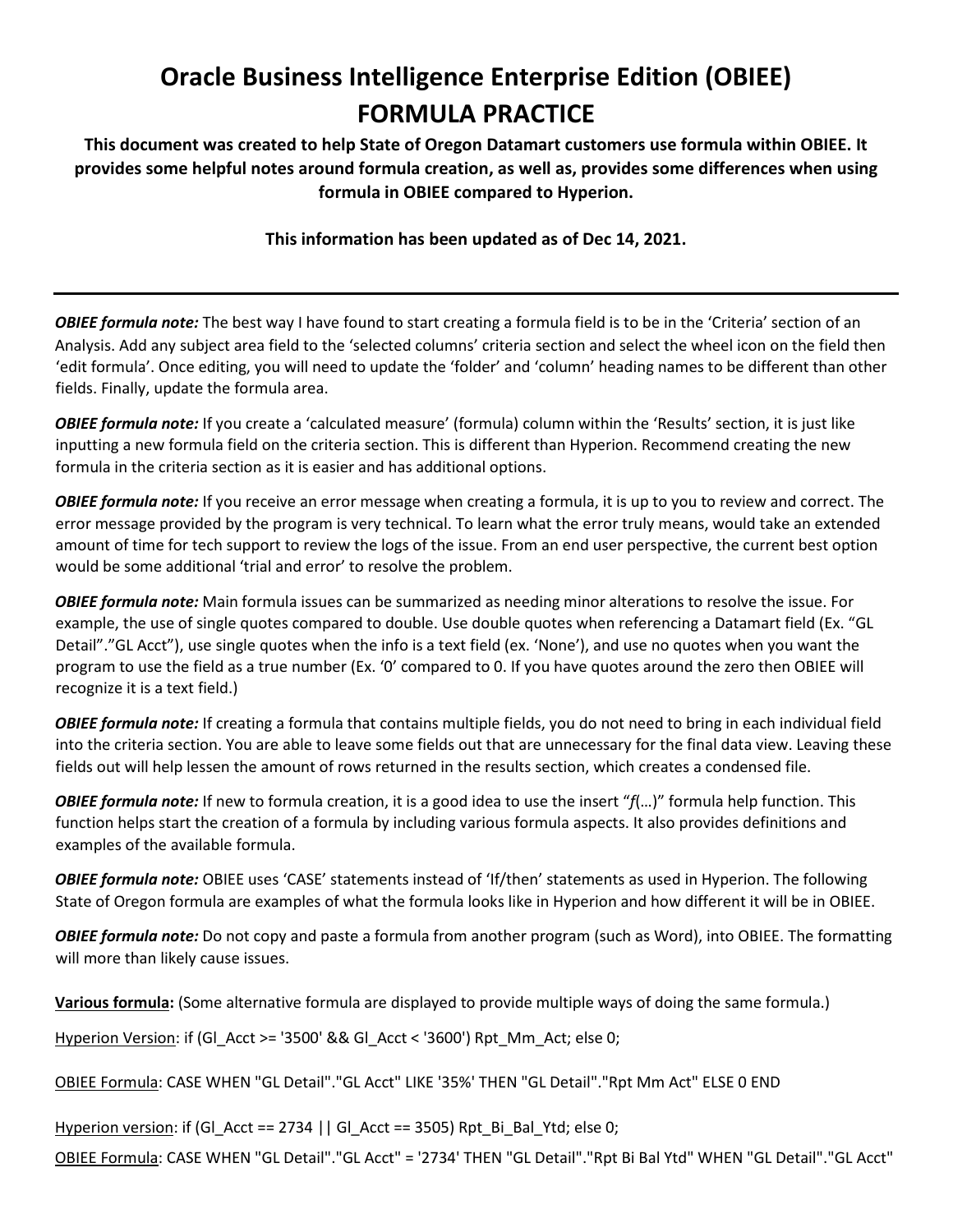## **Oracle Business Intelligence Enterprise Edition (OBIEE) FORMULA PRACTICE**

**This document was created to help State of Oregon Datamart customers use formula within OBIEE. It provides some helpful notes around formula creation, as well as, provides some differences when using formula in OBIEE compared to Hyperion.** 

**This information has been updated as of Dec 14, 2021.** 

*OBIEE formula note:* The best way I have found to start creating a formula field is to be in the 'Criteria' section of an Analysis. Add any subject area field to the 'selected columns' criteria section and select the wheel icon on the field then 'edit formula'. Once editing, you will need to update the 'folder' and 'column' heading names to be different than other fields. Finally, update the formula area.

*OBIEE formula note:* If you create a 'calculated measure' (formula) column within the 'Results' section, it is just like inputting a new formula field on the criteria section. This is different than Hyperion. Recommend creating the new formula in the criteria section as it is easier and has additional options.

*OBIEE formula note:* If you receive an error message when creating a formula, it is up to you to review and correct. The error message provided by the program is very technical. To learn what the error truly means, would take an extended amount of time for tech support to review the logs of the issue. From an end user perspective, the current best option would be some additional 'trial and error' to resolve the problem.

*OBIEE formula note:* Main formula issues can be summarized as needing minor alterations to resolve the issue. For example, the use of single quotes compared to double. Use double quotes when referencing a Datamart field (Ex. "GL Detail"."GL Acct"), use single quotes when the info is a text field (ex. 'None'), and use no quotes when you want the program to use the field as a true number (Ex. '0' compared to 0. If you have quotes around the zero then OBIEE will recognize it is a text field.)

*OBIEE formula note:* If creating a formula that contains multiple fields, you do not need to bring in each individual field into the criteria section. You are able to leave some fields out that are unnecessary for the final data view. Leaving these fields out will help lessen the amount of rows returned in the results section, which creates a condensed file.

*OBIEE formula note:* If new to formula creation, it is a good idea to use the insert "*f*(…)" formula help function. This function helps start the creation of a formula by including various formula aspects. It also provides definitions and examples of the available formula.

*OBIEE formula note:* OBIEE uses 'CASE' statements instead of 'If/then' statements as used in Hyperion. The following State of Oregon formula are examples of what the formula looks like in Hyperion and how different it will be in OBIEE.

*OBIEE formula note:* Do not copy and paste a formula from another program (such as Word), into OBIEE. The formatting will more than likely cause issues.

**Various formula:** (Some alternative formula are displayed to provide multiple ways of doing the same formula.)

Hyperion Version: if (Gl\_Acct >= '3500' && Gl\_Acct < '3600') Rpt\_Mm\_Act; else 0;

OBIEE Formula: CASE WHEN "GL Detail"."GL Acct" LIKE '35%' THEN "GL Detail"."Rpt Mm Act" ELSE 0 END

Hyperion version: if (GI\_Acct == 2734 | | GI\_Acct == 3505) Rpt\_Bi\_Bal\_Ytd; else 0;

OBIEE Formula: CASE WHEN "GL Detail"."GL Acct" = '2734' THEN "GL Detail"."Rpt Bi Bal Ytd" WHEN "GL Detail"."GL Acct"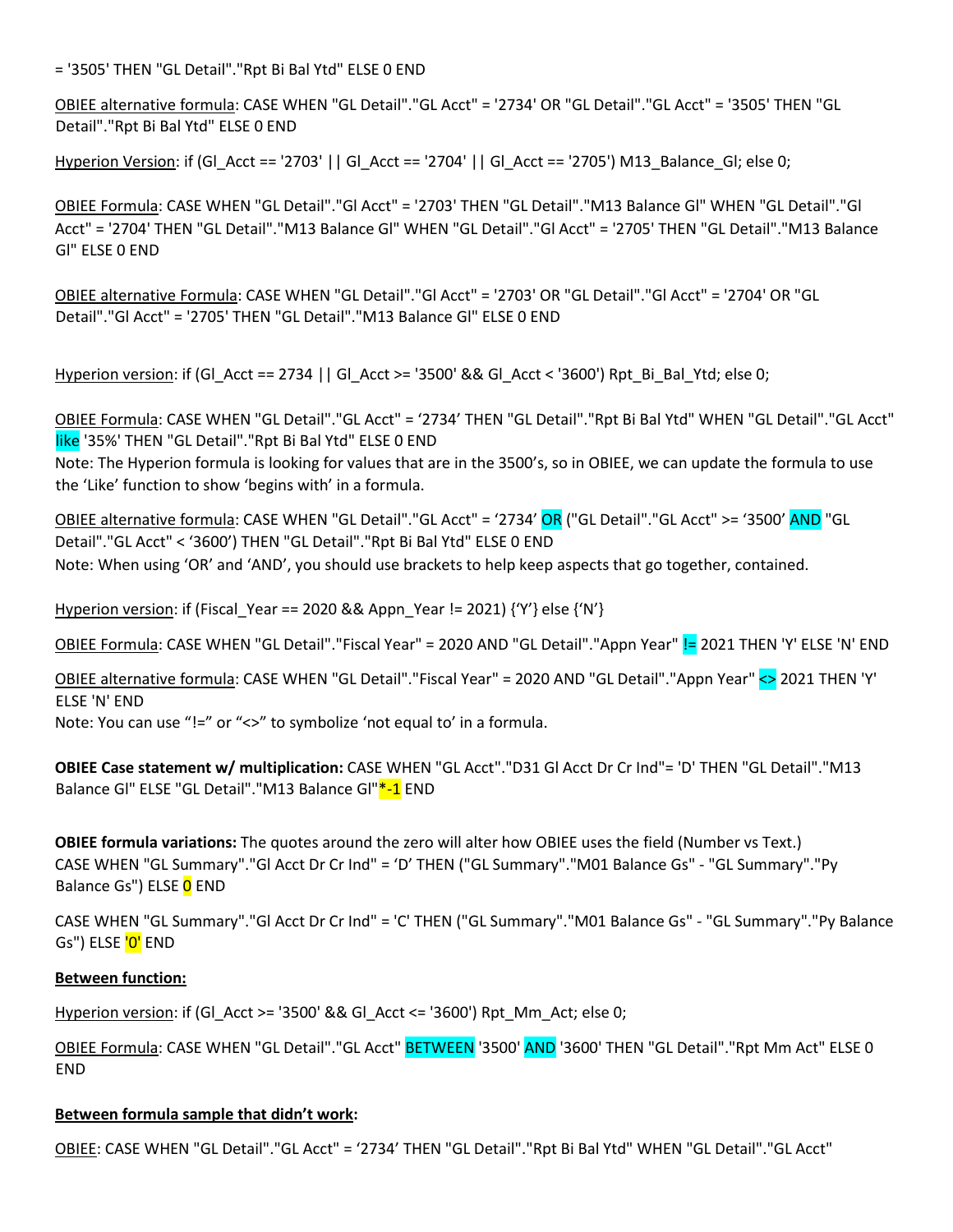= '3505' THEN "GL Detail"."Rpt Bi Bal Ytd" ELSE 0 END

OBIEE alternative formula: CASE WHEN "GL Detail"."GL Acct" = '2734' OR "GL Detail"."GL Acct" = '3505' THEN "GL Detail"."Rpt Bi Bal Ytd" ELSE 0 END

Hyperion Version: if (Gl\_Acct == '2703' || Gl\_Acct == '2704' || Gl\_Acct == '2705') M13\_Balance\_Gl; else 0;

OBIEE Formula: CASE WHEN "GL Detail"."Gl Acct" = '2703' THEN "GL Detail"."M13 Balance Gl" WHEN "GL Detail"."Gl Acct" = '2704' THEN "GL Detail"."M13 Balance Gl" WHEN "GL Detail"."Gl Acct" = '2705' THEN "GL Detail"."M13 Balance Gl" ELSE 0 END

OBIEE alternative Formula: CASE WHEN "GL Detail"."Gl Acct" = '2703' OR "GL Detail"."Gl Acct" = '2704' OR "GL Detail"."Gl Acct" = '2705' THEN "GL Detail"."M13 Balance Gl" ELSE 0 END

Hyperion version: if (Gl\_Acct == 2734 || Gl\_Acct >= '3500' && Gl\_Acct < '3600') Rpt\_Bi\_Bal\_Ytd; else 0;

OBIEE Formula: CASE WHEN "GL Detail"."GL Acct" = '2734' THEN "GL Detail"."Rpt Bi Bal Ytd" WHEN "GL Detail"."GL Acct" like '35%' THEN "GL Detail"."Rpt Bi Bal Ytd" ELSE 0 END

Note: The Hyperion formula is looking for values that are in the 3500's, so in OBIEE, we can update the formula to use the 'Like' function to show 'begins with' in a formula.

OBIEE alternative formula: CASE WHEN "GL Detail"."GL Acct" = '2734' OR ("GL Detail"."GL Acct" >= '3500' AND "GL Detail"."GL Acct" < '3600') THEN "GL Detail"."Rpt Bi Bal Ytd" ELSE 0 END Note: When using 'OR' and 'AND', you should use brackets to help keep aspects that go together, contained.

Hyperion version: if (Fiscal Year == 2020 && Appn Year != 2021)  ${Y'}$  else  ${'N'}$ 

OBIEE Formula: CASE WHEN "GL Detail"."Fiscal Year" = 2020 AND "GL Detail"."Appn Year" != 2021 THEN 'Y' ELSE 'N' END

OBIEE alternative formula: CASE WHEN "GL Detail"."Fiscal Year" = 2020 AND "GL Detail"."Appn Year" <> 2021 THEN 'Y' ELSE 'N' END Note: You can use "!=" or "<>" to symbolize 'not equal to' in a formula.

**OBIEE Case statement w/ multiplication:** CASE WHEN "GL Acct"."D31 Gl Acct Dr Cr Ind"= 'D' THEN "GL Detail"."M13 Balance Gl" ELSE "GL Detail"."M13 Balance Gl"\*-1 END

**OBIEE formula variations:** The quotes around the zero will alter how OBIEE uses the field (Number vs Text.) CASE WHEN "GL Summary"."Gl Acct Dr Cr Ind" = 'D' THEN ("GL Summary"."M01 Balance Gs" - "GL Summary"."Py Balance Gs") ELSE O END

CASE WHEN "GL Summary"."Gl Acct Dr Cr Ind" = 'C' THEN ("GL Summary"."M01 Balance Gs" - "GL Summary"."Py Balance Gs") ELSE <mark>'0'</mark> END

## **Between function:**

Hyperion version: if (GI Acct  $>=$  '3500' && GI Acct  $<=$  '3600') Rpt Mm Act; else 0;

OBIEE Formula: CASE WHEN "GL Detail"."GL Acct" BETWEEN '3500' AND '3600' THEN "GL Detail"."Rpt Mm Act" ELSE 0 END

## **Between formula sample that didn't work:**

OBIEE: CASE WHEN "GL Detail"."GL Acct" = '2734' THEN "GL Detail"."Rpt Bi Bal Ytd" WHEN "GL Detail"."GL Acct"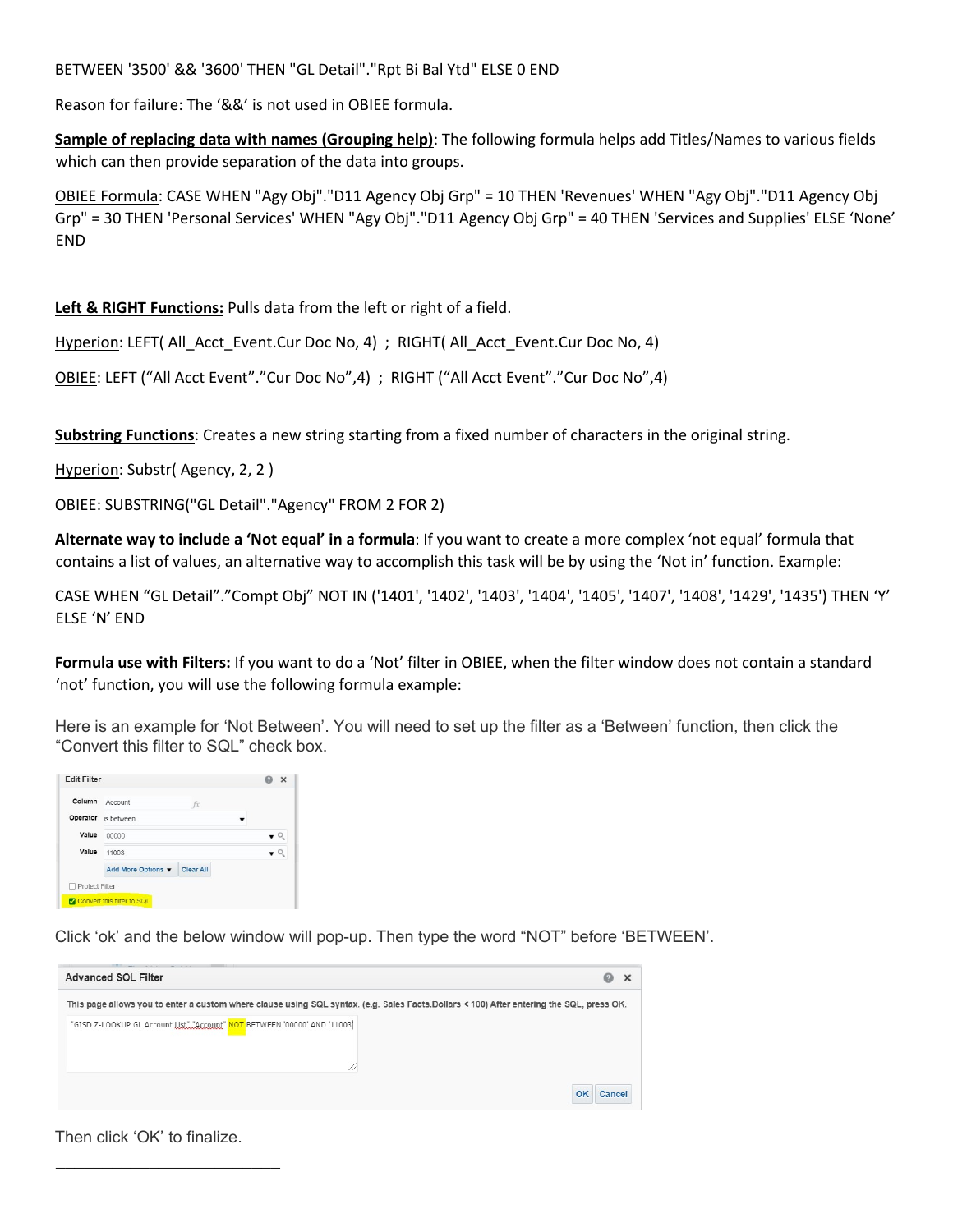BETWEEN '3500' && '3600' THEN "GL Detail"."Rpt Bi Bal Ytd" ELSE 0 END

Reason for failure: The '&&' is not used in OBIEE formula.

**Sample of replacing data with names (Grouping help)**: The following formula helps add Titles/Names to various fields which can then provide separation of the data into groups.

OBIEE Formula: CASE WHEN "Agy Obj"."D11 Agency Obj Grp" = 10 THEN 'Revenues' WHEN "Agy Obj"."D11 Agency Obj Grp" = 30 THEN 'Personal Services' WHEN "Agy Obj"."D11 Agency Obj Grp" = 40 THEN 'Services and Supplies' ELSE 'None' END

**Left & RIGHT Functions:** Pulls data from the left or right of a field.

Hyperion: LEFT( All Acct Event.Cur Doc No, 4) ; RIGHT( All Acct Event.Cur Doc No, 4)

OBIEE: LEFT ("All Acct Event"."Cur Doc No",4) ; RIGHT ("All Acct Event"."Cur Doc No",4)

**Substring Functions**: Creates a new string starting from a fixed number of characters in the original string.

Hyperion: Substr(Agency, 2, 2)

OBIEE: SUBSTRING("GL Detail"."Agency" FROM 2 FOR 2)

**Alternate way to include a 'Not equal' in a formula**: If you want to create a more complex 'not equal' formula that contains a list of values, an alternative way to accomplish this task will be by using the 'Not in' function. Example:

CASE WHEN "GL Detail"."Compt Obj" NOT IN ('1401', '1402', '1403', '1404', '1405', '1407', '1408', '1429', '1435') THEN 'Y' ELSE 'N' END

**Formula use with Filters:** If you want to do a 'Not' filter in OBIEE, when the filter window does not contain a standard 'not' function, you will use the following formula example:

Here is an example for 'Not Between'. You will need to set up the filter as a 'Between' function, then click the "Convert this filter to SQL" check box.

| Column                | Account<br>fx                   |  |
|-----------------------|---------------------------------|--|
| Operator              | is between                      |  |
| Value                 | 00000                           |  |
| Value                 | 11003                           |  |
|                       | Clear All<br>Add More Options ▼ |  |
| <b>Protect Filter</b> |                                 |  |

Click 'ok' and the below window will pop-up. Then type the word "NOT" before 'BETWEEN'.



Then click 'OK' to finalize.